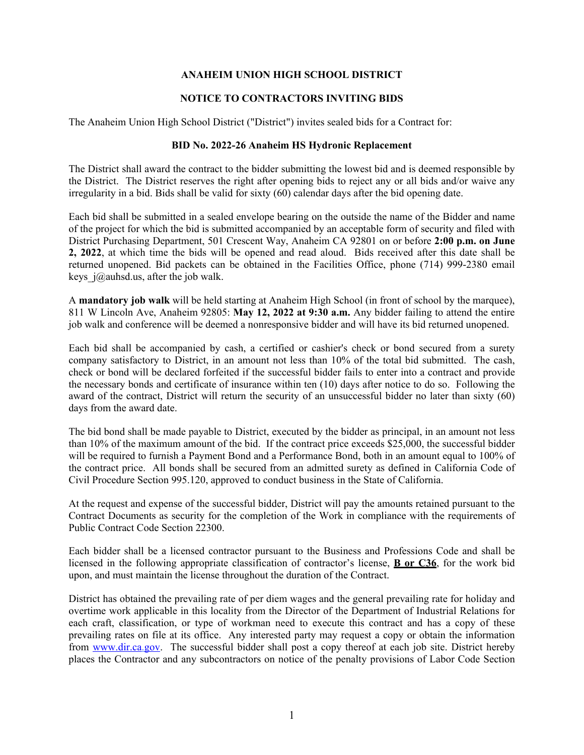## **ANAHEIM UNION HIGH SCHOOL DISTRICT**

## **NOTICE TO CONTRACTORS INVITING BIDS**

The Anaheim Union High School District ("District") invites sealed bids for a Contract for:

## **BID No. 2022-26 Anaheim HS Hydronic Replacement**

The District shall award the contract to the bidder submitting the lowest bid and is deemed responsible by the District. The District reserves the right after opening bids to reject any or all bids and/or waive any irregularity in a bid. Bids shall be valid for sixty (60) calendar days after the bid opening date.

Each bid shall be submitted in a sealed envelope bearing on the outside the name of the Bidder and name of the project for which the bid is submitted accompanied by an acceptable form of security and filed with District Purchasing Department, 501 Crescent Way, Anaheim CA 92801 on or before **2:00 p.m. on June 2, 2022**, at which time the bids will be opened and read aloud. Bids received after this date shall be returned unopened. Bid packets can be obtained in the Facilities Office, phone (714) 999-2380 email keys  $j(\omega)$ auhsd.us, after the job walk.

A **mandatory job walk** will be held starting at Anaheim High School (in front of school by the marquee), 811 W Lincoln Ave, Anaheim 92805: **May 12, 2022 at 9:30 a.m.** Any bidder failing to attend the entire job walk and conference will be deemed a nonresponsive bidder and will have its bid returned unopened.

Each bid shall be accompanied by cash, a certified or cashier's check or bond secured from a surety company satisfactory to District, in an amount not less than 10% of the total bid submitted. The cash, check or bond will be declared forfeited if the successful bidder fails to enter into a contract and provide the necessary bonds and certificate of insurance within ten (10) days after notice to do so. Following the award of the contract, District will return the security of an unsuccessful bidder no later than sixty (60) days from the award date.

The bid bond shall be made payable to District, executed by the bidder as principal, in an amount not less than 10% of the maximum amount of the bid. If the contract price exceeds \$25,000, the successful bidder will be required to furnish a Payment Bond and a Performance Bond, both in an amount equal to 100% of the contract price. All bonds shall be secured from an admitted surety as defined in California Code of Civil Procedure Section 995.120, approved to conduct business in the State of California.

At the request and expense of the successful bidder, District will pay the amounts retained pursuant to the Contract Documents as security for the completion of the Work in compliance with the requirements of Public Contract Code Section 22300.

Each bidder shall be a licensed contractor pursuant to the Business and Professions Code and shall be licensed in the following appropriate classification of contractor's license, **B or C36**, for the work bid upon, and must maintain the license throughout the duration of the Contract.

District has obtained the prevailing rate of per diem wages and the general prevailing rate for holiday and overtime work applicable in this locality from the Director of the Department of Industrial Relations for each craft, classification, or type of workman need to execute this contract and has a copy of these prevailing rates on file at its office. Any interested party may request a copy or obtain the information from [www.dir.ca.](http://www.dir.ca/)gov. The successful bidder shall post a copy thereof at each job site. District hereby places the Contractor and any subcontractors on notice of the penalty provisions of Labor Code Section